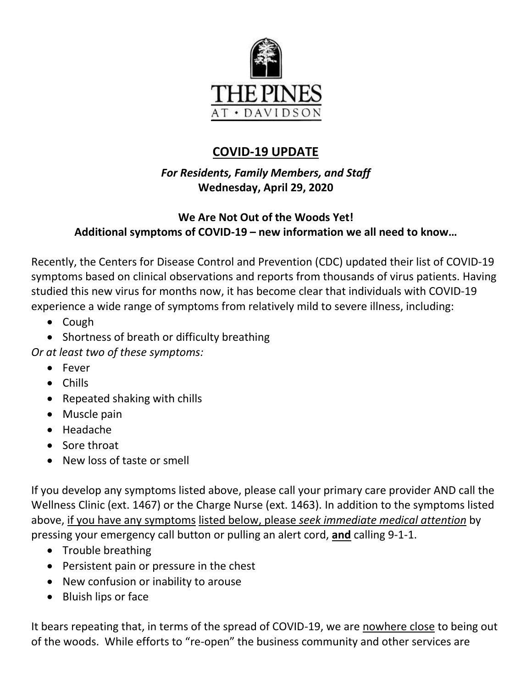

# **COVID-19 UPDATE**

*For Residents, Family Members, and Staff* **Wednesday, April 29, 2020**

# **We Are Not Out of the Woods Yet! Additional symptoms of COVID-19 – new information we all need to know…**

Recently, the Centers for Disease Control and Prevention (CDC) updated their list of COVID-19 symptoms based on clinical observations and reports from thousands of virus patients. Having studied this new virus for months now, it has become clear that individuals with COVID-19 experience a wide range of symptoms from relatively mild to severe illness, including:

- Cough
- Shortness of breath or difficulty breathing

*Or at least two of these symptoms:*

- Fever
- Chills
- Repeated shaking with chills
- Muscle pain
- Headache
- Sore throat
- New loss of taste or smell

If you develop any symptoms listed above, please call your primary care provider AND call the Wellness Clinic (ext. 1467) or the Charge Nurse (ext. 1463). In addition to the symptoms listed above, if you have any symptoms listed below, please *seek immediate medical attention* by pressing your emergency call button or pulling an alert cord, **and** calling 9-1-1.

- Trouble breathing
- Persistent pain or pressure in the chest
- New confusion or inability to arouse
- Bluish lips or face

It bears repeating that, in terms of the spread of COVID-19, we are nowhere close to being out of the woods. While efforts to "re-open" the business community and other services are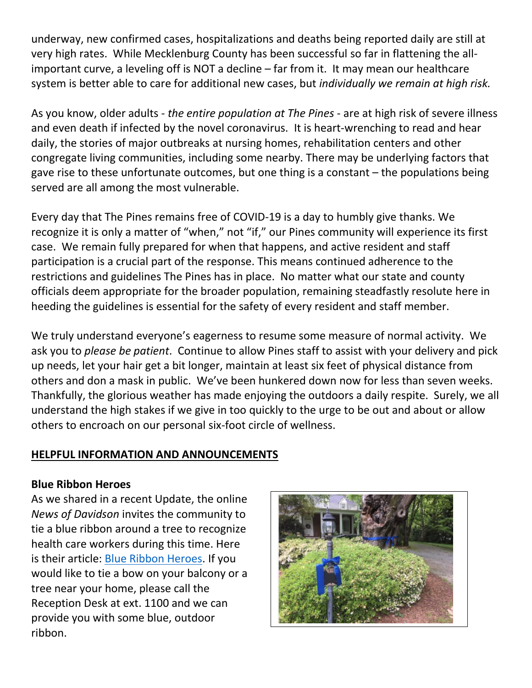underway, new confirmed cases, hospitalizations and deaths being reported daily are still at very high rates. While Mecklenburg County has been successful so far in flattening the allimportant curve, a leveling off is NOT a decline – far from it. It may mean our healthcare system is better able to care for additional new cases, but *individually we remain at high risk.*

As you know, older adults - *the entire population at The Pines* - are at high risk of severe illness and even death if infected by the novel coronavirus. It is heart-wrenching to read and hear daily, the stories of major outbreaks at nursing homes, rehabilitation centers and other congregate living communities, including some nearby. There may be underlying factors that gave rise to these unfortunate outcomes, but one thing is a constant – the populations being served are all among the most vulnerable.

Every day that The Pines remains free of COVID-19 is a day to humbly give thanks. We recognize it is only a matter of "when," not "if," our Pines community will experience its first case. We remain fully prepared for when that happens, and active resident and staff participation is a crucial part of the response. This means continued adherence to the restrictions and guidelines The Pines has in place. No matter what our state and county officials deem appropriate for the broader population, remaining steadfastly resolute here in heeding the guidelines is essential for the safety of every resident and staff member.

We truly understand everyone's eagerness to resume some measure of normal activity. We ask you to *please be patient*. Continue to allow Pines staff to assist with your delivery and pick up needs, let your hair get a bit longer, maintain at least six feet of physical distance from others and don a mask in public. We've been hunkered down now for less than seven weeks. Thankfully, the glorious weather has made enjoying the outdoors a daily respite. Surely, we all understand the high stakes if we give in too quickly to the urge to be out and about or allow others to encroach on our personal six-foot circle of wellness.

# **HELPFUL INFORMATION AND ANNOUNCEMENTS**

# **Blue Ribbon Heroes**

As we shared in a recent Update, the online *News of Davidson* invites the community to tie a blue ribbon around a tree to recognize health care workers during this time. Here is their article: [Blue Ribbon Heroes.](https://newsofdavidson.org/2020/04/14/24987/blue-ribbon-heroes/) If you would like to tie a bow on your balcony or a tree near your home, please call the Reception Desk at ext. 1100 and we can provide you with some blue, outdoor ribbon.

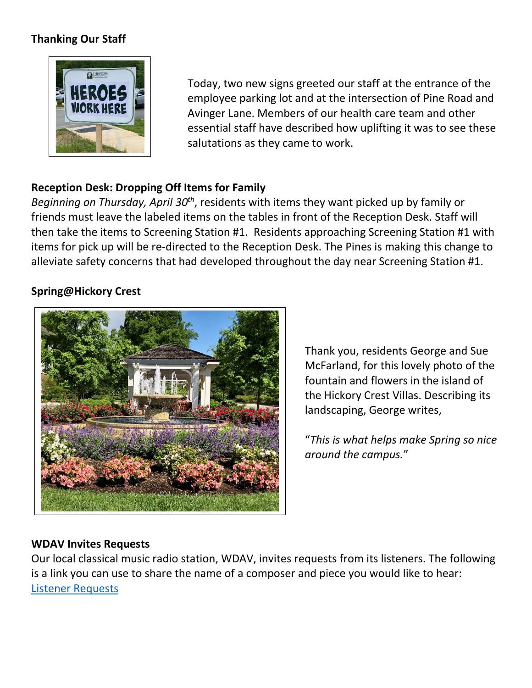# **Thanking Our Staff**



Today, two new signs greeted our staff at the entrance of the employee parking lot and at the intersection of Pine Road and Avinger Lane. Members of our health care team and other essential staff have described how uplifting it was to see these salutations as they came to work.

# **Reception Desk: Dropping Off Items for Family**

Beginning on Thursday, April 30<sup>th</sup>, residents with items they want picked up by family or friends must leave the labeled items on the tables in front of the Reception Desk. Staff will then take the items to Screening Station #1. Residents approaching Screening Station #1 with items for pick up will be re-directed to the Reception Desk. The Pines is making this change to alleviate safety concerns that had developed throughout the day near Screening Station #1.

## **Spring@Hickory Crest**



Thank you, residents George and Sue McFarland, for this lovely photo of the fountain and flowers in the island of the Hickory Crest Villas. Describing its landscaping, George writes,

"*This is what helps make Spring so nice around the campus.*"

#### **WDAV Invites Requests**

Our local classical music radio station, WDAV, invites requests from its listeners. The following is a link you can use to share the name of a composer and piece you would like to hear: [Listener Requests](https://www.wdav.org/programs/wdav-by-request)